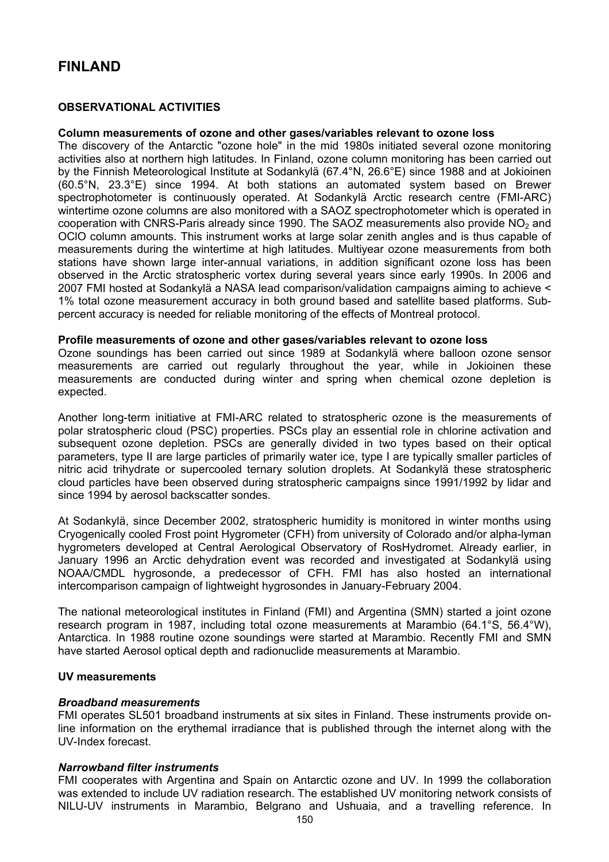# **FINI AND**

# **OBSERVATIONAL ACTIVITIES**

### **Column measurements of ozone and other gases/variables relevant to ozone loss**

The discovery of the Antarctic "ozone hole" in the mid 1980s initiated several ozone monitoring activities also at northern high latitudes. In Finland, ozone column monitoring has been carried out by the Finnish Meteorological Institute at Sodankylä (67.4°N, 26.6°E) since 1988 and at Jokioinen (60.5°N, 23.3°E) since 1994. At both stations an automated system based on Brewer spectrophotometer is continuously operated. At Sodankylä Arctic research centre (FMI-ARC) wintertime ozone columns are also monitored with a SAOZ spectrophotometer which is operated in cooperation with CNRS-Paris already since 1990. The SAOZ measurements also provide  $NO<sub>2</sub>$  and OClO column amounts. This instrument works at large solar zenith angles and is thus capable of measurements during the wintertime at high latitudes. Multiyear ozone measurements from both stations have shown large inter-annual variations, in addition significant ozone loss has been observed in the Arctic stratospheric vortex during several years since early 1990s. In 2006 and 2007 FMI hosted at Sodankylä a NASA lead comparison/validation campaigns aiming to achieve < 1% total ozone measurement accuracy in both ground based and satellite based platforms. Subpercent accuracy is needed for reliable monitoring of the effects of Montreal protocol.

### **Profile measurements of ozone and other gases/variables relevant to ozone loss**

Ozone soundings has been carried out since 1989 at Sodankylä where balloon ozone sensor measurements are carried out regularly throughout the year, while in Jokioinen these measurements are conducted during winter and spring when chemical ozone depletion is expected.

Another long-term initiative at FMI-ARC related to stratospheric ozone is the measurements of polar stratospheric cloud (PSC) properties. PSCs play an essential role in chlorine activation and subsequent ozone depletion. PSCs are generally divided in two types based on their optical parameters, type II are large particles of primarily water ice, type I are typically smaller particles of nitric acid trihydrate or supercooled ternary solution droplets. At Sodankylä these stratospheric cloud particles have been observed during stratospheric campaigns since 1991/1992 by lidar and since 1994 by aerosol backscatter sondes.

At Sodankylä, since December 2002, stratospheric humidity is monitored in winter months using Cryogenically cooled Frost point Hygrometer (CFH) from university of Colorado and/or alpha-lyman hygrometers developed at Central Aerological Observatory of RosHydromet. Already earlier, in January 1996 an Arctic dehydration event was recorded and investigated at Sodankylä using NOAA/CMDL hygrosonde, a predecessor of CFH. FMI has also hosted an international intercomparison campaign of lightweight hygrosondes in January-February 2004.

The national meteorological institutes in Finland (FMI) and Argentina (SMN) started a joint ozone research program in 1987, including total ozone measurements at Marambio (64.1°S, 56.4°W), Antarctica. In 1988 routine ozone soundings were started at Marambio. Recently FMI and SMN have started Aerosol optical depth and radionuclide measurements at Marambio.

### **UV measurements**

### *Broadband measurements*

FMI operates SL501 broadband instruments at six sites in Finland. These instruments provide online information on the erythemal irradiance that is published through the internet along with the UV-Index forecast.

### *Narrowband filter instruments*

FMI cooperates with Argentina and Spain on Antarctic ozone and UV. In 1999 the collaboration was extended to include UV radiation research. The established UV monitoring network consists of NILU-UV instruments in Marambio, Belgrano and Ushuaia, and a travelling reference. In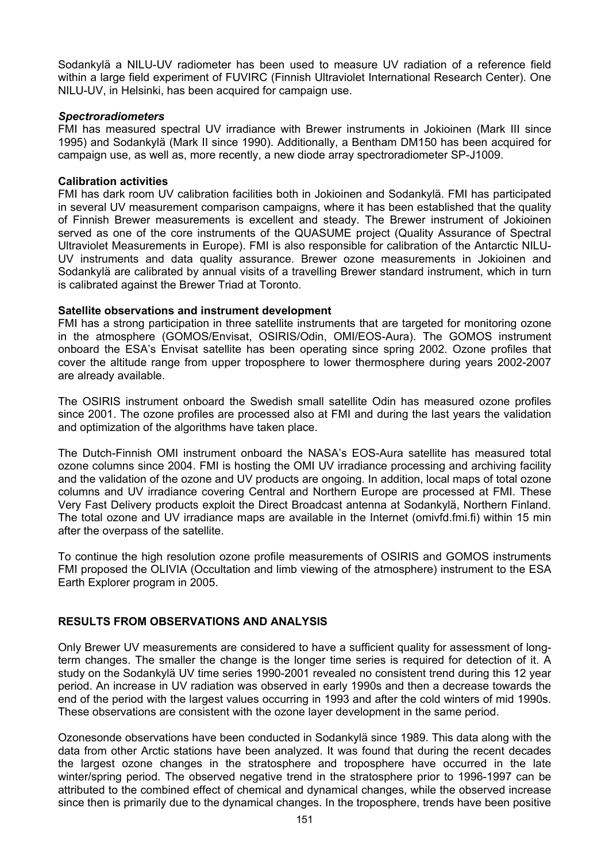Sodankylä a NILU-UV radiometer has been used to measure UV radiation of a reference field within a large field experiment of FUVIRC (Finnish Ultraviolet International Research Center). One NILU-UV, in Helsinki, has been acquired for campaign use.

# *Spectroradiometers*

FMI has measured spectral UV irradiance with Brewer instruments in Jokioinen (Mark III since 1995) and Sodankylä (Mark II since 1990). Additionally, a Bentham DM150 has been acquired for campaign use, as well as, more recently, a new diode array spectroradiometer SP-J1009.

## **Calibration activities**

FMI has dark room UV calibration facilities both in Jokioinen and Sodankylä. FMI has participated in several UV measurement comparison campaigns, where it has been established that the quality of Finnish Brewer measurements is excellent and steady. The Brewer instrument of Jokioinen served as one of the core instruments of the QUASUME project (Quality Assurance of Spectral Ultraviolet Measurements in Europe). FMI is also responsible for calibration of the Antarctic NILU-UV instruments and data quality assurance. Brewer ozone measurements in Jokioinen and Sodankylä are calibrated by annual visits of a travelling Brewer standard instrument, which in turn is calibrated against the Brewer Triad at Toronto.

## **Satellite observations and instrument development**

FMI has a strong participation in three satellite instruments that are targeted for monitoring ozone in the atmosphere (GOMOS/Envisat, OSIRIS/Odin, OMI/EOS-Aura). The GOMOS instrument onboard the ESA's Envisat satellite has been operating since spring 2002. Ozone profiles that cover the altitude range from upper troposphere to lower thermosphere during years 2002-2007 are already available.

The OSIRIS instrument onboard the Swedish small satellite Odin has measured ozone profiles since 2001. The ozone profiles are processed also at FMI and during the last years the validation and optimization of the algorithms have taken place.

The Dutch-Finnish OMI instrument onboard the NASA's EOS-Aura satellite has measured total ozone columns since 2004. FMI is hosting the OMI UV irradiance processing and archiving facility and the validation of the ozone and UV products are ongoing. In addition, local maps of total ozone columns and UV irradiance covering Central and Northern Europe are processed at FMI. These Very Fast Delivery products exploit the Direct Broadcast antenna at Sodankylä, Northern Finland. The total ozone and UV irradiance maps are available in the Internet (omivfd.fmi.fi) within 15 min after the overpass of the satellite.

To continue the high resolution ozone profile measurements of OSIRIS and GOMOS instruments FMI proposed the OLIVIA (Occultation and limb viewing of the atmosphere) instrument to the ESA Earth Explorer program in 2005.

# **RESULTS FROM OBSERVATIONS AND ANALYSIS**

Only Brewer UV measurements are considered to have a sufficient quality for assessment of longterm changes. The smaller the change is the longer time series is required for detection of it. A study on the Sodankylä UV time series 1990-2001 revealed no consistent trend during this 12 year period. An increase in UV radiation was observed in early 1990s and then a decrease towards the end of the period with the largest values occurring in 1993 and after the cold winters of mid 1990s. These observations are consistent with the ozone layer development in the same period.

Ozonesonde observations have been conducted in Sodankylä since 1989. This data along with the data from other Arctic stations have been analyzed. It was found that during the recent decades the largest ozone changes in the stratosphere and troposphere have occurred in the late winter/spring period. The observed negative trend in the stratosphere prior to 1996-1997 can be attributed to the combined effect of chemical and dynamical changes, while the observed increase since then is primarily due to the dynamical changes. In the troposphere, trends have been positive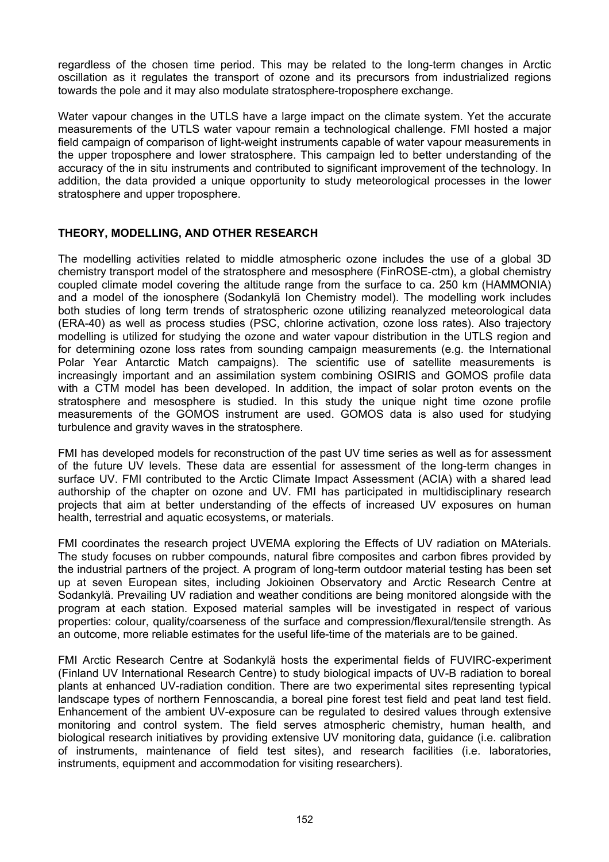regardless of the chosen time period. This may be related to the long-term changes in Arctic oscillation as it regulates the transport of ozone and its precursors from industrialized regions towards the pole and it may also modulate stratosphere-troposphere exchange.

Water vapour changes in the UTLS have a large impact on the climate system. Yet the accurate measurements of the UTLS water vapour remain a technological challenge. FMI hosted a major field campaign of comparison of light-weight instruments capable of water vapour measurements in the upper troposphere and lower stratosphere. This campaign led to better understanding of the accuracy of the in situ instruments and contributed to significant improvement of the technology. In addition, the data provided a unique opportunity to study meteorological processes in the lower stratosphere and upper troposphere.

# **THEORY, MODELLING, AND OTHER RESEARCH**

The modelling activities related to middle atmospheric ozone includes the use of a global 3D chemistry transport model of the stratosphere and mesosphere (FinROSE-ctm), a global chemistry coupled climate model covering the altitude range from the surface to ca. 250 km (HAMMONIA) and a model of the ionosphere (Sodankylä Ion Chemistry model). The modelling work includes both studies of long term trends of stratospheric ozone utilizing reanalyzed meteorological data (ERA-40) as well as process studies (PSC, chlorine activation, ozone loss rates). Also trajectory modelling is utilized for studying the ozone and water vapour distribution in the UTLS region and for determining ozone loss rates from sounding campaign measurements (e.g. the International Polar Year Antarctic Match campaigns). The scientific use of satellite measurements is increasingly important and an assimilation system combining OSIRIS and GOMOS profile data with a CTM model has been developed. In addition, the impact of solar proton events on the stratosphere and mesosphere is studied. In this study the unique night time ozone profile measurements of the GOMOS instrument are used. GOMOS data is also used for studying turbulence and gravity waves in the stratosphere.

FMI has developed models for reconstruction of the past UV time series as well as for assessment of the future UV levels. These data are essential for assessment of the long-term changes in surface UV. FMI contributed to the Arctic Climate Impact Assessment (ACIA) with a shared lead authorship of the chapter on ozone and UV. FMI has participated in multidisciplinary research projects that aim at better understanding of the effects of increased UV exposures on human health, terrestrial and aquatic ecosystems, or materials.

FMI coordinates the research project UVEMA exploring the Effects of UV radiation on MAterials. The study focuses on rubber compounds, natural fibre composites and carbon fibres provided by the industrial partners of the project. A program of long-term outdoor material testing has been set up at seven European sites, including Jokioinen Observatory and Arctic Research Centre at Sodankylä. Prevailing UV radiation and weather conditions are being monitored alongside with the program at each station. Exposed material samples will be investigated in respect of various properties: colour, quality/coarseness of the surface and compression/flexural/tensile strength. As an outcome, more reliable estimates for the useful life-time of the materials are to be gained.

FMI Arctic Research Centre at Sodankylä hosts the experimental fields of FUVIRC-experiment (Finland UV International Research Centre) to study biological impacts of UV-B radiation to boreal plants at enhanced UV-radiation condition. There are two experimental sites representing typical landscape types of northern Fennoscandia, a boreal pine forest test field and peat land test field. Enhancement of the ambient UV-exposure can be regulated to desired values through extensive monitoring and control system. The field serves atmospheric chemistry, human health, and biological research initiatives by providing extensive UV monitoring data, guidance (i.e. calibration of instruments, maintenance of field test sites), and research facilities (i.e. laboratories, instruments, equipment and accommodation for visiting researchers).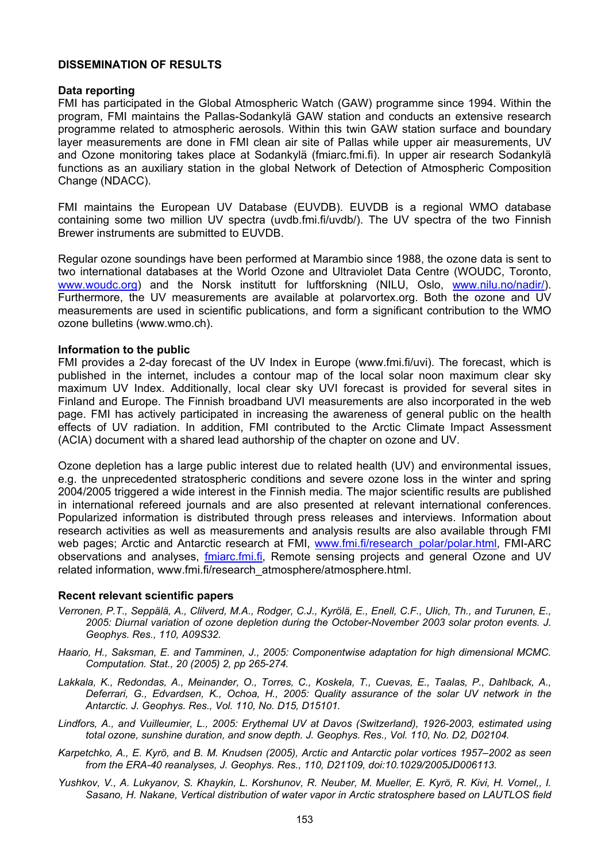# **DISSEMINATION OF RESULTS**

### **Data reporting**

FMI has participated in the Global Atmospheric Watch (GAW) programme since 1994. Within the program, FMI maintains the Pallas-Sodankylä GAW station and conducts an extensive research programme related to atmospheric aerosols. Within this twin GAW station surface and boundary layer measurements are done in FMI clean air site of Pallas while upper air measurements, UV and Ozone monitoring takes place at Sodankylä (fmiarc.fmi.fi). In upper air research Sodankylä functions as an auxiliary station in the global Network of Detection of Atmospheric Composition Change (NDACC).

FMI maintains the European UV Database (EUVDB). EUVDB is a regional WMO database containing some two million UV spectra (uvdb.fmi.fi/uvdb/). The UV spectra of the two Finnish Brewer instruments are submitted to EUVDB.

Regular ozone soundings have been performed at Marambio since 1988, the ozone data is sent to two international databases at the World Ozone and Ultraviolet Data Centre (WOUDC, Toronto, [www.woudc.org](http://www.woudc.org/)) and the Norsk institutt for luftforskning (NILU, Oslo, [www.nilu.no/nadir/\)](http://www.nilu.no/nadir/). Furthermore, the UV measurements are available at polarvortex.org. Both the ozone and UV measurements are used in scientific publications, and form a significant contribution to the WMO ozone bulletins (www.wmo.ch).

### **Information to the public**

FMI provides a 2-day forecast of the UV Index in Europe (www.fmi.fi/uvi). The forecast, which is published in the internet, includes a contour map of the local solar noon maximum clear sky maximum UV Index. Additionally, local clear sky UVI forecast is provided for several sites in Finland and Europe. The Finnish broadband UVI measurements are also incorporated in the web page. FMI has actively participated in increasing the awareness of general public on the health effects of UV radiation. In addition, FMI contributed to the Arctic Climate Impact Assessment (ACIA) document with a shared lead authorship of the chapter on ozone and UV.

Ozone depletion has a large public interest due to related health (UV) and environmental issues, e.g. the unprecedented stratospheric conditions and severe ozone loss in the winter and spring 2004/2005 triggered a wide interest in the Finnish media. The major scientific results are published in international refereed journals and are also presented at relevant international conferences. Popularized information is distributed through press releases and interviews. Information about research activities as well as measurements and analysis results are also available through FMI web pages; Arctic and Antarctic research at FMI, [www.fmi.fi/research\\_polar/polar.html](http://www.fmi.fi/research_polar/polar.html), FMI-ARC observations and analyses, [fmiarc.fmi.fi](http://fmiarc.fmi.fi/), Remote sensing projects and general Ozone and UV related information, www.fmi.fi/research\_atmosphere/atmosphere.html.

### **Recent relevant scientific papers**

- *Verronen, P.T., Seppälä, A., Clilverd, M.A., Rodger, C.J., Kyrölä, E., Enell, C.F., Ulich, Th., and Turunen, E., 2005: Diurnal variation of ozone depletion during the October-November 2003 solar proton events. J. Geophys. Res., 110, A09S32.*
- *Haario, H., Saksman, E. and Tamminen, J., 2005: Componentwise adaptation for high dimensional MCMC. Computation. Stat., 20 (2005) 2, pp 265-274.*
- *Lakkala, K., Redondas, A., Meinander, O., Torres, C., Koskela, T., Cuevas, E., Taalas, P., Dahlback, A., Deferrari, G., Edvardsen, K., Ochoa, H., 2005: Quality assurance of the solar UV network in the Antarctic. J. Geophys. Res., Vol. 110, No. D15, D15101.*
- *Lindfors, A., and Vuilleumier, L., 2005: Erythemal UV at Davos (Switzerland), 1926-2003, estimated using total ozone, sunshine duration, and snow depth. J. Geophys. Res., Vol. 110, No. D2, D02104.*
- *Karpetchko, A., E. Kyrö, and B. M. Knudsen (2005), Arctic and Antarctic polar vortices 1957–2002 as seen from the ERA-40 reanalyses, J. Geophys. Res., 110, D21109, doi:10.1029/2005JD006113.*
- *Yushkov, V., A. Lukyanov, S. Khaykin, L. Korshunov, R. Neuber, M. Mueller, E. Kyrö, R. Kivi, H. Vomel,, I. Sasano, H. Nakane, Vertical distribution of water vapor in Arctic stratosphere based on LAUTLOS field*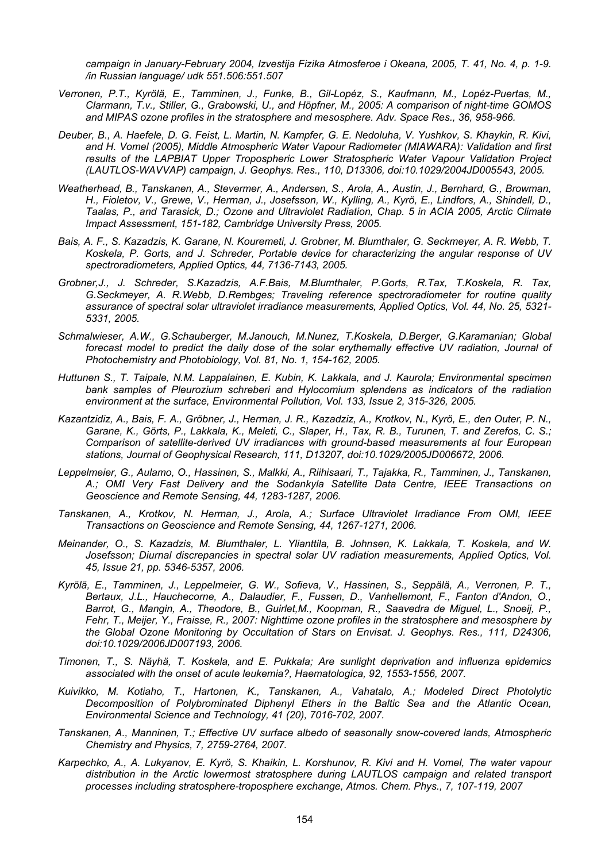*campaign in January-February 2004, Izvestija Fizika Atmosferoe i Okeana, 2005, T. 41, No. 4, p. 1-9. /in Russian language/ udk 551.506:551.507* 

- *Verronen, P.T., Kyrölä, E., Tamminen, J., Funke, B., Gil-Lopéz, S., Kaufmann, M., Lopéz-Puertas, M., Clarmann, T.v., Stiller, G., Grabowski, U., and Höpfner, M., 2005: A comparison of night-time GOMOS and MIPAS ozone profiles in the stratosphere and mesosphere. Adv. Space Res., 36, 958-966.*
- *Deuber, B., A. Haefele, D. G. Feist, L. Martin, N. Kampfer, G. E. Nedoluha, V. Yushkov, S. Khaykin, R. Kivi, and H. Vomel (2005), Middle Atmospheric Water Vapour Radiometer (MIAWARA): Validation and first results of the LAPBIAT Upper Tropospheric Lower Stratospheric Water Vapour Validation Project (LAUTLOS-WAVVAP) campaign, J. Geophys. Res., 110, D13306, doi:10.1029/2004JD005543, 2005.*
- *Weatherhead, B., Tanskanen, A., Stevermer, A., Andersen, S., Arola, A., Austin, J., Bernhard, G., Browman, H., Fioletov, V., Grewe, V., Herman, J., Josefsson, W., Kylling, A., Kyrö, E., Lindfors, A., Shindell, D., Taalas, P., and Tarasick, D.; Ozone and Ultraviolet Radiation, Chap. 5 in ACIA 2005, Arctic Climate Impact Assessment, 151-182, Cambridge University Press, 2005.*
- *Bais, A. F., S. Kazadzis, K. Garane, N. Kouremeti, J. Grobner, M. Blumthaler, G. Seckmeyer, A. R. Webb, T. Koskela, P. Gorts, and J. Schreder, Portable device for characterizing the angular response of UV spectroradiometers, Applied Optics, 44, 7136-7143, 2005.*
- *Grobner,J., J. Schreder, S.Kazadzis, A.F.Bais, M.Blumthaler, P.Gorts, R.Tax, T.Koskela, R. Tax, G.Seckmeyer, A. R.Webb, D.Rembges; Traveling reference spectroradiometer for routine quality assurance of spectral solar ultraviolet irradiance measurements, Applied Optics, Vol. 44, No. 25, 5321- 5331, 2005.*
- *Schmalwieser, A.W., G.Schauberger, M.Janouch, M.Nunez, T.Koskela, D.Berger, G.Karamanian; Global*  forecast model to predict the daily dose of the solar erythemally effective UV radiation, Journal of *Photochemistry and Photobiology, Vol. 81, No. 1, 154-162, 2005.*
- *Huttunen S., T. Taipale, N.M. Lappalainen, E. Kubin, K. Lakkala, and J. Kaurola; Environmental specimen bank samples of Pleurozium schreberi and Hylocomium splendens as indicators of the radiation environment at the surface, Environmental Pollution, Vol. 133, Issue 2, 315-326, 2005.*
- *Kazantzidiz, A., Bais, F. A., Gröbner, J., Herman, J. R., Kazadziz, A., Krotkov, N., Kyrö, E., den Outer, P. N., Garane, K., Görts, P., Lakkala, K., Meleti, C., Slaper, H., Tax, R. B., Turunen, T. and Zerefos, C. S.; Comparison of satellite-derived UV irradiances with ground-based measurements at four European stations, Journal of Geophysical Research, 111, D13207, doi:10.1029/2005JD006672, 2006.*
- *Leppelmeier, G., Aulamo, O., Hassinen, S., Malkki, A., Riihisaari, T., Tajakka, R., Tamminen, J., Tanskanen, A.; OMI Very Fast Delivery and the Sodankyla Satellite Data Centre, IEEE Transactions on Geoscience and Remote Sensing, 44, 1283-1287, 2006.*
- *Tanskanen, A., Krotkov, N. Herman, J., Arola, A.; Surface Ultraviolet Irradiance From OMI, IEEE Transactions on Geoscience and Remote Sensing, 44, 1267-1271, 2006.*
- *Meinander, O., S. Kazadzis, M. Blumthaler, L. Ylianttila, B. Johnsen, K. Lakkala, T. Koskela, and W. Josefsson; Diurnal discrepancies in spectral solar UV radiation measurements, Applied Optics, Vol. 45, Issue 21, pp. 5346-5357, 2006.*
- *Kyrölä, E., Tamminen, J., Leppelmeier, G. W., Sofieva, V., Hassinen, S., Seppälä, A., Verronen, P. T., Bertaux, J.L., Hauchecorne, A., Dalaudier, F., Fussen, D., Vanhellemont, F., Fanton d'Andon, O., Barrot, G., Mangin, A., Theodore, B., Guirlet,M., Koopman, R., Saavedra de Miguel, L., Snoeij, P., Fehr, T., Meijer, Y., Fraisse, R., 2007: Nighttime ozone profiles in the stratosphere and mesosphere by the Global Ozone Monitoring by Occultation of Stars on Envisat. J. Geophys. Res., 111, D24306, doi:10.1029/2006JD007193, 2006.*
- *Timonen, T., S. Näyhä, T. Koskela, and E. Pukkala; Are sunlight deprivation and influenza epidemics associated with the onset of acute leukemia?, Haematologica, 92, 1553-1556, 2007.*
- *Kuivikko, M. Kotiaho, T., Hartonen, K., Tanskanen, A., Vahatalo, A.; Modeled Direct Photolytic Decomposition of Polybrominated Diphenyl Ethers in the Baltic Sea and the Atlantic Ocean, Environmental Science and Technology, 41 (20), 7016-702, 2007.*
- *Tanskanen, A., Manninen, T.; Effective UV surface albedo of seasonally snow-covered lands, Atmospheric Chemistry and Physics, 7, 2759-2764, 2007.*
- *Karpechko, A., A. Lukyanov, E. Kyrö, S. Khaikin, L. Korshunov, R. Kivi and H. Vomel, The water vapour distribution in the Arctic lowermost stratosphere during LAUTLOS campaign and related transport processes including stratosphere-troposphere exchange, Atmos. Chem. Phys., 7, 107-119, 2007*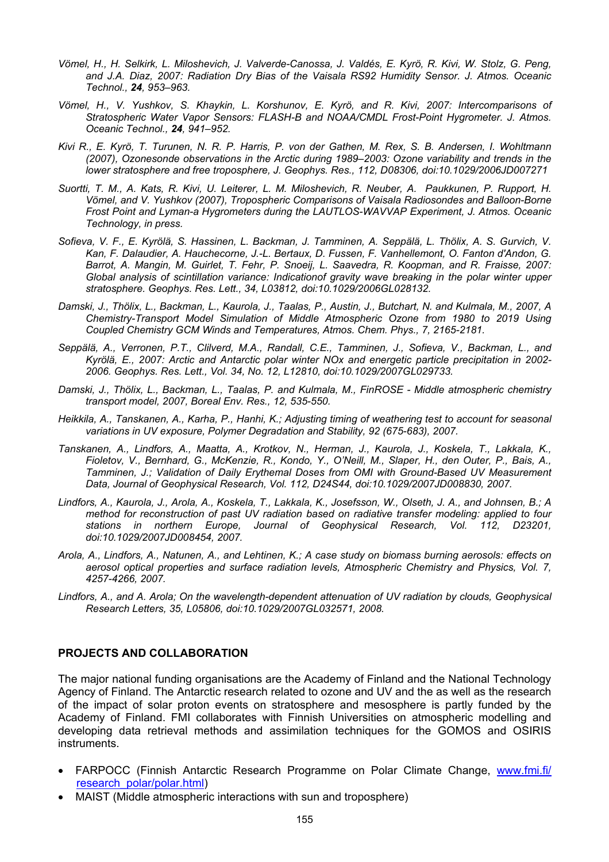- *Vömel, H., H. Selkirk, L. Miloshevich, J. Valverde-Canossa, J. Valdés, E. Kyrö, R. Kivi, W. Stolz, G. Peng, and J.A. Diaz, 2007: Radiation Dry Bias of the Vaisala RS92 Humidity Sensor. J. Atmos. Oceanic Technol., 24, 953–963.*
- *Vömel, H., V. Yushkov, S. Khaykin, L. Korshunov, E. Kyrö, and R. Kivi, 2007: Intercomparisons of Stratospheric Water Vapor Sensors: FLASH-B and NOAA/CMDL Frost-Point Hygrometer. J. Atmos. Oceanic Technol., 24, 941–952.*
- *Kivi R., E. Kyrö, T. Turunen, N. R. P. Harris, P. von der Gathen, M. Rex, S. B. Andersen, I. Wohltmann (2007), Ozonesonde observations in the Arctic during 1989–2003: Ozone variability and trends in the lower stratosphere and free troposphere, J. Geophys. Res., 112, D08306, doi:10.1029/2006JD007271*
- *Suortti, T. M., A. Kats, R. Kivi, U. Leiterer, L. M. Miloshevich, R. Neuber, A. Paukkunen, P. Rupport, H. Vömel, and V. Yushkov (2007), Tropospheric Comparisons of Vaisala Radiosondes and Balloon-Borne Frost Point and Lyman-a Hygrometers during the LAUTLOS-WAVVAP Experiment, J. Atmos. Oceanic Technology, in press.*
- *Sofieva, V. F., E. Kyrölä, S. Hassinen, L. Backman, J. Tamminen, A. Seppälä, L. Thölix, A. S. Gurvich, V. Kan, F. Dalaudier, A. Hauchecorne, J.-L. Bertaux, D. Fussen, F. Vanhellemont, O. Fanton d'Andon, G. Barrot, A. Mangin, M. Guirlet, T. Fehr, P. Snoeij, L. Saavedra, R. Koopman, and R. Fraisse, 2007: Global analysis of scintillation variance: Indicationof gravity wave breaking in the polar winter upper stratosphere. Geophys. Res. Lett., 34, L03812, doi:10.1029/2006GL028132.*
- *Damski, J., Thölix, L., Backman, L., Kaurola, J., Taalas, P., Austin, J., Butchart, N. and Kulmala, M., 2007, A Chemistry-Transport Model Simulation of Middle Atmospheric Ozone from 1980 to 2019 Using Coupled Chemistry GCM Winds and Temperatures, Atmos. Chem. Phys., 7, 2165-2181.*
- *Seppälä, A., Verronen, P.T., Clilverd, M.A., Randall, C.E., Tamminen, J., Sofieva, V., Backman, L., and Kyrölä, E., 2007: Arctic and Antarctic polar winter NOx and energetic particle precipitation in 2002- 2006. Geophys. Res. Lett., Vol. 34, No. 12, L12810, doi:10.1029/2007GL029733.*
- *Damski, J., Thölix, L., Backman, L., Taalas, P. and Kulmala, M., FinROSE Middle atmospheric chemistry transport model, 2007, Boreal Env. Res., 12, 535-550.*
- *Heikkila, A., Tanskanen, A., Karha, P., Hanhi, K.; Adjusting timing of weathering test to account for seasonal variations in UV exposure, Polymer Degradation and Stability, 92 (675-683), 2007.*
- *Tanskanen, A., Lindfors, A., Maatta, A., Krotkov, N., Herman, J., Kaurola, J., Koskela, T., Lakkala, K., Fioletov, V., Bernhard, G., McKenzie, R., Kondo, Y., O'Neill, M., Slaper, H., den Outer, P., Bais, A., Tamminen, J.; Validation of Daily Erythemal Doses from OMI with Ground-Based UV Measurement Data, Journal of Geophysical Research, Vol. 112, D24S44, doi:10.1029/2007JD008830, 2007.*
- *Lindfors, A., Kaurola, J., Arola, A., Koskela, T., Lakkala, K., Josefsson, W., Olseth, J. A., and Johnsen, B.; A method for reconstruction of past UV radiation based on radiative transfer modeling: applied to four stations in northern Europe, Journal of Geophysical Research, Vol. 112, D23201, doi:10.1029/2007JD008454, 2007.*
- *Arola, A., Lindfors, A., Natunen, A., and Lehtinen, K.; A case study on biomass burning aerosols: effects on aerosol optical properties and surface radiation levels, Atmospheric Chemistry and Physics, Vol. 7, 4257-4266, 2007.*
- *Lindfors, A., and A. Arola; On the wavelength-dependent attenuation of UV radiation by clouds, Geophysical Research Letters, 35, L05806, doi:10.1029/2007GL032571, 2008.*

# **PROJECTS AND COLLABORATION**

The major national funding organisations are the Academy of Finland and the National Technology Agency of Finland. The Antarctic research related to ozone and UV and the as well as the research of the impact of solar proton events on stratosphere and mesosphere is partly funded by the Academy of Finland. FMI collaborates with Finnish Universities on atmospheric modelling and developing data retrieval methods and assimilation techniques for the GOMOS and OSIRIS instruments.

- FARPOCC (Finnish Antarctic Research Programme on Polar Climate Change, [www.fmi.fi/](http://www.fmi.fi/ research_polar/polar.html)  [research\\_polar/polar.html](http://www.fmi.fi/ research_polar/polar.html))
- MAIST (Middle atmospheric interactions with sun and troposphere)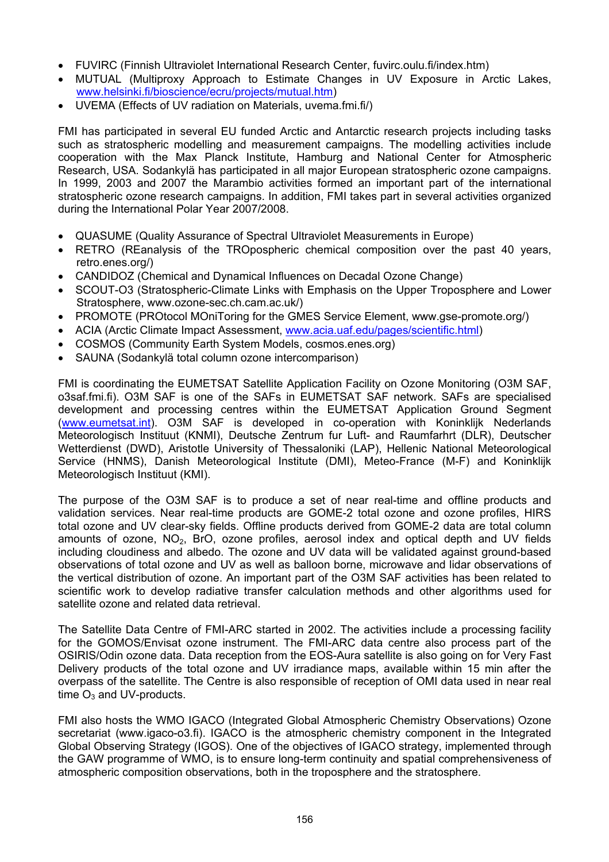- FUVIRC (Finnish Ultraviolet International Research Center, fuvirc.oulu.fi/index.htm)
- MUTUAL (Multiproxy Approach to Estimate Changes in UV Exposure in Arctic Lakes, [www.helsinki.fi/bioscience/ecru/projects/mutual.htm](http://www.helsinki.fi/bioscience/ecru/projects/mutual.htm))
- UVEMA (Effects of UV radiation on Materials, uvema.fmi.fi/)

FMI has participated in several EU funded Arctic and Antarctic research projects including tasks such as stratospheric modelling and measurement campaigns. The modelling activities include cooperation with the Max Planck Institute, Hamburg and National Center for Atmospheric Research, USA. Sodankylä has participated in all major European stratospheric ozone campaigns. In 1999, 2003 and 2007 the Marambio activities formed an important part of the international stratospheric ozone research campaigns. In addition, FMI takes part in several activities organized during the International Polar Year 2007/2008.

- QUASUME (Quality Assurance of Spectral Ultraviolet Measurements in Europe)
- RETRO (REanalysis of the TROpospheric chemical composition over the past 40 years, retro.enes.org/)
- CANDIDOZ (Chemical and Dynamical Influences on Decadal Ozone Change)
- SCOUT-O3 (Stratospheric-Climate Links with Emphasis on the Upper Troposphere and Lower Stratosphere, www.ozone-sec.ch.cam.ac.uk/)
- PROMOTE (PROtocol MOniToring for the GMES Service Element, www.gse-promote.org/)
- ACIA (Arctic Climate Impact Assessment, [www.acia.uaf.edu/pages/scientific.html](http://www.acia.uaf.edu/pages/scientific.html))
- COSMOS (Community Earth System Models, cosmos.enes.org)
- SAUNA (Sodankylä total column ozone intercomparison)

FMI is coordinating the EUMETSAT Satellite Application Facility on Ozone Monitoring (O3M SAF, o3saf.fmi.fi). O3M SAF is one of the SAFs in EUMETSAT SAF network. SAFs are specialised development and processing centres within the EUMETSAT Application Ground Segment [\(www.eumetsat.int](http://www.eumetsat.int/)). O3M SAF is developed in co-operation with Koninklijk Nederlands Meteorologisch Instituut (KNMI), Deutsche Zentrum fur Luft- and Raumfarhrt (DLR), Deutscher Wetterdienst (DWD), Aristotle University of Thessaloniki (LAP), Hellenic National Meteorological Service (HNMS), Danish Meteorological Institute (DMI), Meteo-France (M-F) and Koninklijk Meteorologisch Instituut (KMI).

The purpose of the O3M SAF is to produce a set of near real-time and offline products and validation services. Near real-time products are GOME-2 total ozone and ozone profiles, HIRS total ozone and UV clear-sky fields. Offline products derived from GOME-2 data are total column amounts of ozone,  $NO<sub>2</sub>$ , BrO, ozone profiles, aerosol index and optical depth and UV fields including cloudiness and albedo. The ozone and UV data will be validated against ground-based observations of total ozone and UV as well as balloon borne, microwave and lidar observations of the vertical distribution of ozone. An important part of the O3M SAF activities has been related to scientific work to develop radiative transfer calculation methods and other algorithms used for satellite ozone and related data retrieval.

The Satellite Data Centre of FMI-ARC started in 2002. The activities include a processing facility for the GOMOS/Envisat ozone instrument. The FMI-ARC data centre also process part of the OSIRIS/Odin ozone data. Data reception from the EOS-Aura satellite is also going on for Very Fast Delivery products of the total ozone and UV irradiance maps, available within 15 min after the overpass of the satellite. The Centre is also responsible of reception of OMI data used in near real time  $O_3$  and UV-products.

FMI also hosts the WMO IGACO (Integrated Global Atmospheric Chemistry Observations) Ozone secretariat (www.igaco-o3.fi). IGACO is the atmospheric chemistry component in the Integrated Global Observing Strategy (IGOS). One of the objectives of IGACO strategy, implemented through the GAW programme of WMO, is to ensure long-term continuity and spatial comprehensiveness of atmospheric composition observations, both in the troposphere and the stratosphere.